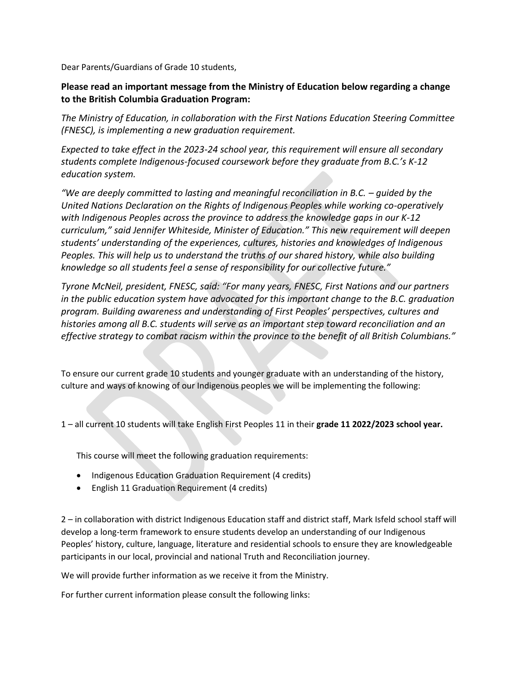Dear Parents/Guardians of Grade 10 students,

## **Please read an important message from the Ministry of Education below regarding a change to the British Columbia Graduation Program:**

*The Ministry of Education, in collaboration with the First Nations Education Steering Committee (FNESC), is implementing a new graduation requirement.*

*Expected to take effect in the 2023-24 school year, this requirement will ensure all secondary students complete Indigenous-focused coursework before they graduate from B.C.'s K-12 education system.*

*"We are deeply committed to lasting and meaningful reconciliation in B.C. – guided by the United Nations Declaration on the Rights of Indigenous Peoples while working co-operatively with Indigenous Peoples across the province to address the knowledge gaps in our K-12 curriculum," said Jennifer Whiteside, Minister of Education." This new requirement will deepen students' understanding of the experiences, cultures, histories and knowledges of Indigenous Peoples. This will help us to understand the truths of our shared history, while also building knowledge so all students feel a sense of responsibility for our collective future."*

*Tyrone McNeil, president, FNESC, said: "For many years, FNESC, First Nations and our partners in the public education system have advocated for this important change to the B.C. graduation program. Building awareness and understanding of First Peoples' perspectives, cultures and histories among all B.C. students will serve as an important step toward reconciliation and an effective strategy to combat racism within the province to the benefit of all British Columbians."*

To ensure our current grade 10 students and younger graduate with an understanding of the history, culture and ways of knowing of our Indigenous peoples we will be implementing the following:

1 – all current 10 students will take English First Peoples 11 in their **grade 11 2022/2023 school year.**

This course will meet the following graduation requirements:

- Indigenous Education Graduation Requirement (4 credits)
- English 11 Graduation Requirement (4 credits)

2 – in collaboration with district Indigenous Education staff and district staff, Mark Isfeld school staff will develop a long-term framework to ensure students develop an understanding of our Indigenous Peoples' history, culture, language, literature and residential schools to ensure they are knowledgeable participants in our local, provincial and national Truth and Reconciliation journey.

We will provide further information as we receive it from the Ministry.

For further current information please consult the following links: